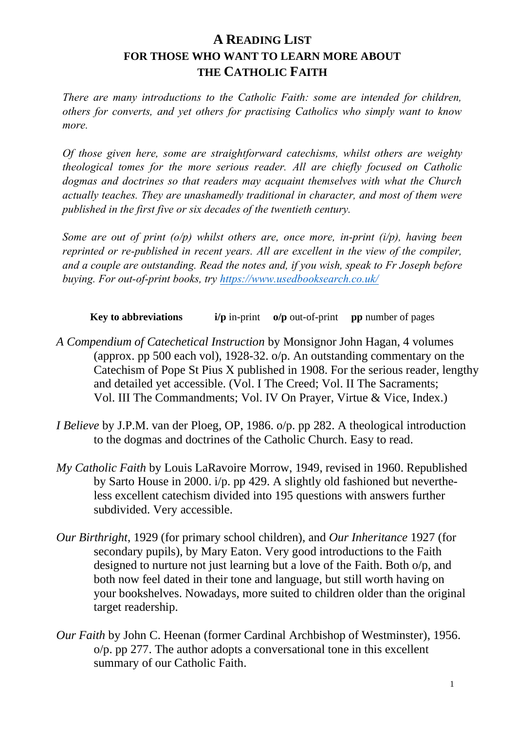## **A READING LIST FOR THOSE WHO WANT TO LEARN MORE ABOUT THE CATHOLIC FAITH**

*There are many introductions to the Catholic Faith: some are intended for children, others for converts, and yet others for practising Catholics who simply want to know more.*

*Of those given here, some are straightforward catechisms, whilst others are weighty theological tomes for the more serious reader. All are chiefly focused on Catholic dogmas and doctrines so that readers may acquaint themselves with what the Church actually teaches. They are unashamedly traditional in character, and most of them were published in the first five or six decades of the twentieth century.*

*Some are out of print (o/p) whilst others are, once more, in-print (i/p), having been reprinted or re-published in recent years. All are excellent in the view of the compiler, and a couple are outstanding. Read the notes and, if you wish, speak to Fr Joseph before buying. For out-of-print books, try<https://www.usedbooksearch.co.uk/>*

**Key to abbreviations i/p** in-print **o/p** out-of-print **pp** number of pages

- *A Compendium of Catechetical Instruction* by Monsignor John Hagan, 4 volumes (approx. pp 500 each vol), 1928-32. o/p. An outstanding commentary on the Catechism of Pope St Pius X published in 1908. For the serious reader, lengthy and detailed yet accessible. (Vol. I The Creed; Vol. II The Sacraments; Vol. III The Commandments; Vol. IV On Prayer, Virtue & Vice, Index.)
- *I Believe* by J.P.M. van der Ploeg, OP, 1986. o/p. pp 282. A theological introduction to the dogmas and doctrines of the Catholic Church. Easy to read.
- *My Catholic Faith* by Louis LaRavoire Morrow, 1949, revised in 1960. Republished by Sarto House in 2000. i/p. pp 429. A slightly old fashioned but nevertheless excellent catechism divided into 195 questions with answers further subdivided. Very accessible.
- *Our Birthright*, 1929 (for primary school children), and *Our Inheritance* 1927 (for secondary pupils), by Mary Eaton. Very good introductions to the Faith designed to nurture not just learning but a love of the Faith. Both o/p, and both now feel dated in their tone and language, but still worth having on your bookshelves. Nowadays, more suited to children older than the original target readership.
- *Our Faith* by John C. Heenan (former Cardinal Archbishop of Westminster), 1956. o/p. pp 277. The author adopts a conversational tone in this excellent summary of our Catholic Faith.